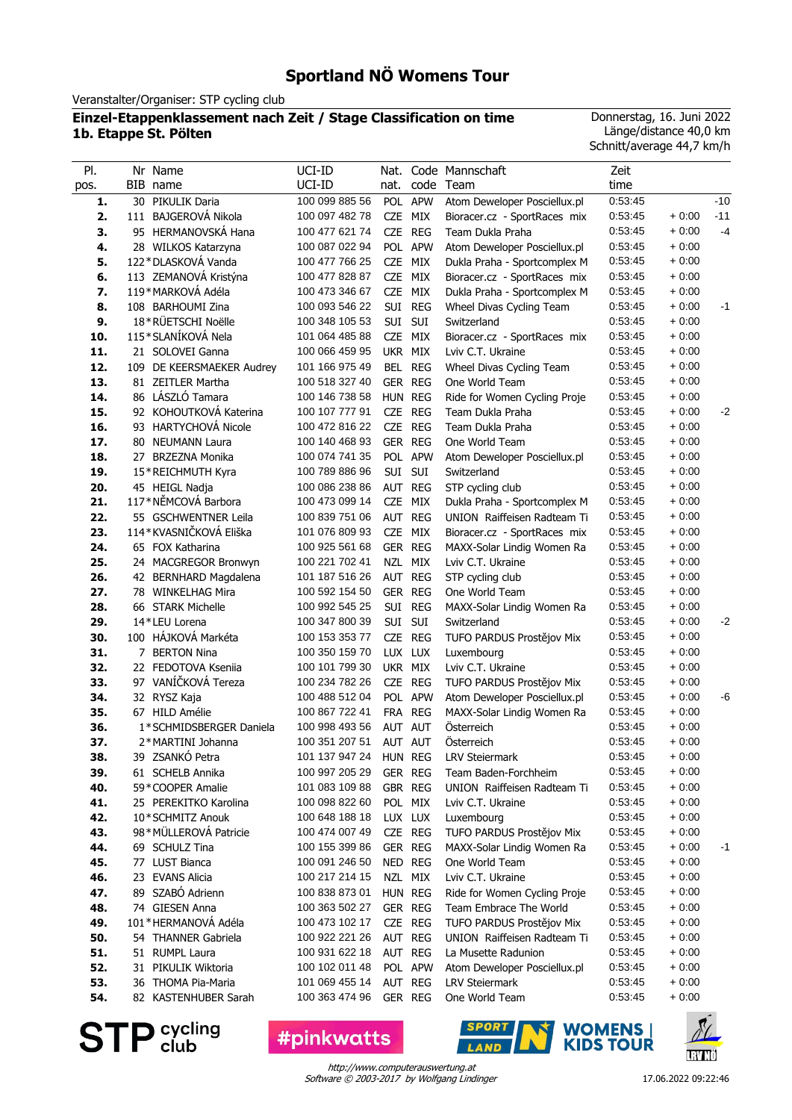# **Sportland NÖ Womens Tour**

Veranstalter/Organiser: STP cycling club

#### **Einzel-Etappenklassement nach Zeit / Stage Classification on time 1b. Etappe St. Pölten**

Donnerstag, 16. Juni 2022 Länge/distance 40,0 km Schnitt/average 44,7 km/h

| PI.<br>pos. | Nr Name<br>BIB name                       | UCI-ID<br>UCI-ID                 | Nat.<br>nat. | code       | Code Mannschaft<br>Team                                | Zeit<br>time       |                    |       |
|-------------|-------------------------------------------|----------------------------------|--------------|------------|--------------------------------------------------------|--------------------|--------------------|-------|
| 1.          | 30 PIKULIK Daria                          | 100 099 885 56                   |              | POL APW    | Atom Deweloper Posciellux.pl                           | 0:53:45            |                    | $-10$ |
| 2.          | 111 BAJGEROVÁ Nikola                      | 100 097 482 78                   | CZE MIX      |            | Bioracer.cz - SportRaces mix                           | 0:53:45            | $+0:00$            | $-11$ |
| 3.          | 95 HERMANOVSKÁ Hana                       | 100 477 621 74                   |              | CZE REG    | Team Dukla Praha                                       | 0:53:45            | $+0:00$            | $-4$  |
| 4.          | 28 WILKOS Katarzyna                       | 100 087 022 94                   |              | POL APW    | Atom Deweloper Posciellux.pl                           | 0:53:45            | $+0:00$            |       |
| 5.          | 122*DLASKOVÁ Vanda                        | 100 477 766 25                   | <b>CZE</b>   | MIX        | Dukla Praha - Sportcomplex M                           | 0:53:45            | $+0:00$            |       |
| 6.          | 113 ZEMANOVÁ Kristýna                     | 100 477 828 87                   | <b>CZE</b>   | MIX        | Bioracer.cz - SportRaces mix                           | 0:53:45            | $+0:00$            |       |
| 7.          | 119*MARKOVÁ Adéla                         | 100 473 346 67                   | CZE          | MIX        | Dukla Praha - Sportcomplex M                           | 0:53:45            | $+0:00$            |       |
| 8.          | 108 BARHOUMI Zina                         | 100 093 546 22                   |              | SUI REG    | Wheel Divas Cycling Team                               | 0:53:45            | $+0:00$            | -1    |
| 9.          | 18*RÜETSCHI Noëlle                        | 100 348 105 53                   | SUI SUI      |            | Switzerland                                            | 0:53:45            | $+0:00$            |       |
| 10.         | 115*SLANÍKOVÁ Nela                        | 101 064 485 88                   | CZE MIX      |            | Bioracer.cz - SportRaces mix                           | 0:53:45            | $+0:00$            |       |
| 11.         | 21 SOLOVEI Ganna                          | 100 066 459 95                   | UKR MIX      |            | Lviv C.T. Ukraine                                      | 0:53:45            | $+0.00$            |       |
| 12.         | 109 DE KEERSMAEKER Audrey                 | 101 166 975 49                   | BEL REG      |            | Wheel Divas Cycling Team                               | 0:53:45            | $+0:00$            |       |
| 13.         | 81 ZEITLER Martha                         | 100 518 327 40                   | GER REG      |            | One World Team                                         | 0:53:45            | $+0:00$            |       |
| 14.         | 86 LÁSZLÓ Tamara                          | 100 146 738 58                   | HUN REG      |            | Ride for Women Cycling Proje                           | 0:53:45            | $+0:00$            |       |
| 15.         | 92 KOHOUTKOVÁ Katerina                    | 100 107 777 91                   | CZE          | <b>REG</b> | Team Dukla Praha                                       | 0:53:45            | $+0:00$            | $-2$  |
| 16.         | 93 HARTYCHOVÁ Nicole                      | 100 472 816 22                   | CZE REG      |            | Team Dukla Praha                                       | 0:53:45            | $+0:00$            |       |
| 17.         | 80 NEUMANN Laura                          | 100 140 468 93                   | GER REG      |            | One World Team                                         | 0:53:45            | $+0:00$            |       |
| 18.         | 27 BRZEZNA Monika                         | 100 074 741 35                   |              | POL APW    | Atom Deweloper Posciellux.pl                           | 0:53:45            | $+0.00$            |       |
| 19.         | 15*REICHMUTH Kyra                         | 100 789 886 96                   | SUI          | SUI        | Switzerland                                            | 0:53:45            | $+0.00$            |       |
| 20.         | 45 HEIGL Nadja                            | 100 086 238 86                   | AUT REG      |            | STP cycling club                                       | 0:53:45            | $+0.00$            |       |
| 21.         | 117*NĚMCOVÁ Barbora                       | 100 473 099 14                   | CZE          | MIX        | Dukla Praha - Sportcomplex M                           | 0:53:45            | $+0:00$            |       |
| 22.         | 55 GSCHWENTNER Leila                      | 100 839 751 06                   | AUT REG      |            | UNION Raiffeisen Radteam Ti                            | 0.53.45            | $+0:00$            |       |
| 23.         | 114*KVASNIČKOVÁ Eliška                    | 101 076 809 93                   | CZE          | MIX        | Bioracer.cz - SportRaces mix                           | 0:53:45            | $+0:00$            |       |
| 24.         | 65 FOX Katharina                          | 100 925 561 68                   | GER REG      |            | MAXX-Solar Lindig Women Ra                             | 0:53:45            | $+0:00$            |       |
| 25.         | 24 MACGREGOR Bronwyn                      | 100 221 702 41                   |              | NZL MIX    | Lviv C.T. Ukraine                                      | 0:53:45            | $+0:00$            |       |
| 26.         | 42 BERNHARD Magdalena                     | 101 187 516 26                   | AUT REG      |            | STP cycling club                                       | 0:53:45            | $+0.00$            |       |
| 27.         | 78 WINKELHAG Mira                         | 100 592 154 50                   | GER REG      |            | One World Team                                         | 0:53:45            | $+0.00$            |       |
| 28.         | 66 STARK Michelle                         | 100 992 545 25                   | SUI          | <b>REG</b> | MAXX-Solar Lindig Women Ra                             | 0:53:45            | $+0.00$            |       |
| 29.         | 14*LEU Lorena                             | 100 347 800 39                   | SUI SUI      |            | Switzerland                                            | 0:53:45            | $+0:00$            | $-2$  |
| 30.         | 100 HÁJKOVÁ Markéta                       | 100 153 353 77                   | CZE REG      |            | TUFO PARDUS Prostějov Mix                              | 0:53:45            | $+0:00$            |       |
| 31.         | 7 BERTON Nina                             | 100 350 159 70                   | LUX LUX      |            | Luxembourg                                             | 0:53:45            | $+0:00$            |       |
| 32.         | 22 FEDOTOVA Kseniia                       | 100 101 799 30                   | UKR MIX      |            | Lviv C.T. Ukraine                                      | 0:53:45            | $+0:00$            |       |
| 33.         | 97 VANÍČKOVÁ Tereza                       | 100 234 782 26                   | CZE REG      |            | TUFO PARDUS Prostějov Mix                              | 0:53:45            | $+0:00$            |       |
| 34.         | 32 RYSZ Kaja                              | 100 488 512 04                   |              | POL APW    | Atom Deweloper Posciellux.pl                           | 0:53:45            | $+0:00$            | -6    |
| 35.         | 67 HILD Amélie                            | 100 867 722 41                   |              | FRA REG    | MAXX-Solar Lindig Women Ra                             | 0:53:45            | $+0:00$            |       |
| 36.         | 1*SCHMIDSBERGER Daniela                   | 100 998 493 56                   | AUT AUT      |            | Österreich                                             | 0:53:45            | $+0.00$            |       |
| 37.         | 2*MARTINI Johanna                         | 100 351 207 51                   | AUT AUT      |            | Österreich                                             | 0:53:45            | $+0.00$            |       |
| 38.         | 39 ZSANKÓ Petra                           | 101 137 947 24 HUN REG           |              |            | <b>LRV Steiermark</b>                                  | 0.53.45            | $+0:00$            |       |
| 39.         | 61 SCHELB Annika                          | 100 997 205 29                   | GER REG      |            | Team Baden-Forchheim                                   | 0:53:45            | $+0:00$            |       |
| 40.         | 59*COOPER Amalie                          | 101 083 109 88<br>100 098 822 60 | GBR REG      |            | UNION Raiffeisen Radteam Ti                            | 0:53:45            | $+0:00$            |       |
| 41.         | 25 PEREKITKO Karolina                     |                                  |              | POL MIX    | Lviv C.T. Ukraine                                      | 0:53:45<br>0:53:45 | $+0:00$            |       |
| 42.         | 10*SCHMITZ Anouk<br>98*MÜLLEROVÁ Patricie | 100 648 188 18<br>100 474 007 49 | LUX LUX      |            | Luxembourg<br>TUFO PARDUS Prostějov Mix                | 0:53:45            | $+0.00$<br>$+0.00$ |       |
| 43.<br>44.  | 69 SCHULZ Tina                            | 100 155 399 86                   | GER REG      | CZE REG    | MAXX-Solar Lindig Women Ra                             | 0:53:45            | $+0.00$            |       |
| 45.         | 77 LUST Bianca                            | 100 091 246 50                   | NED REG      |            | One World Team                                         | 0:53:45            | $+0.00$            | -1    |
| 46.         | 23 EVANS Alicia                           | 100 217 214 15                   |              | NZL MIX    | Lviv C.T. Ukraine                                      | 0:53:45            | $+0.00$            |       |
| 47.         | 89 SZABÓ Adrienn                          | 100 838 873 01                   | HUN REG      |            |                                                        | 0:53:45            | $+0:00$            |       |
| 48.         | 74 GIESEN Anna                            | 100 363 502 27                   | GER REG      |            | Ride for Women Cycling Proje<br>Team Embrace The World | 0:53:45            | $+0:00$            |       |
| 49.         | 101 * HERMANOVÁ Adéla                     | 100 473 102 17                   |              | CZE REG    | TUFO PARDUS Prostějov Mix                              | 0:53:45            | $+0:00$            |       |
| 50.         | 54 THANNER Gabriela                       | 100 922 221 26                   | AUT REG      |            | UNION Raiffeisen Radteam Ti                            | 0:53:45            | $+0:00$            |       |
| 51.         | 51 RUMPL Laura                            | 100 931 622 18                   | AUT REG      |            | La Musette Radunion                                    | 0:53:45            | $+0:00$            |       |
| 52.         | 31 PIKULIK Wiktoria                       | 100 102 011 48                   |              | POL APW    | Atom Deweloper Posciellux.pl                           | 0:53:45            | $+0:00$            |       |
| 53.         | 36 THOMA Pia-Maria                        | 101 069 455 14                   | AUT REG      |            | <b>LRV Steiermark</b>                                  | 0:53:45            | $+0.00$            |       |
| 54.         | 82 KASTENHUBER Sarah                      | 100 363 474 96                   |              | GER REG    | One World Team                                         | 0:53:45            | $+0:00$            |       |
|             |                                           |                                  |              |            |                                                        |                    |                    |       |

**STP** cycling

**#pinkwatts** 



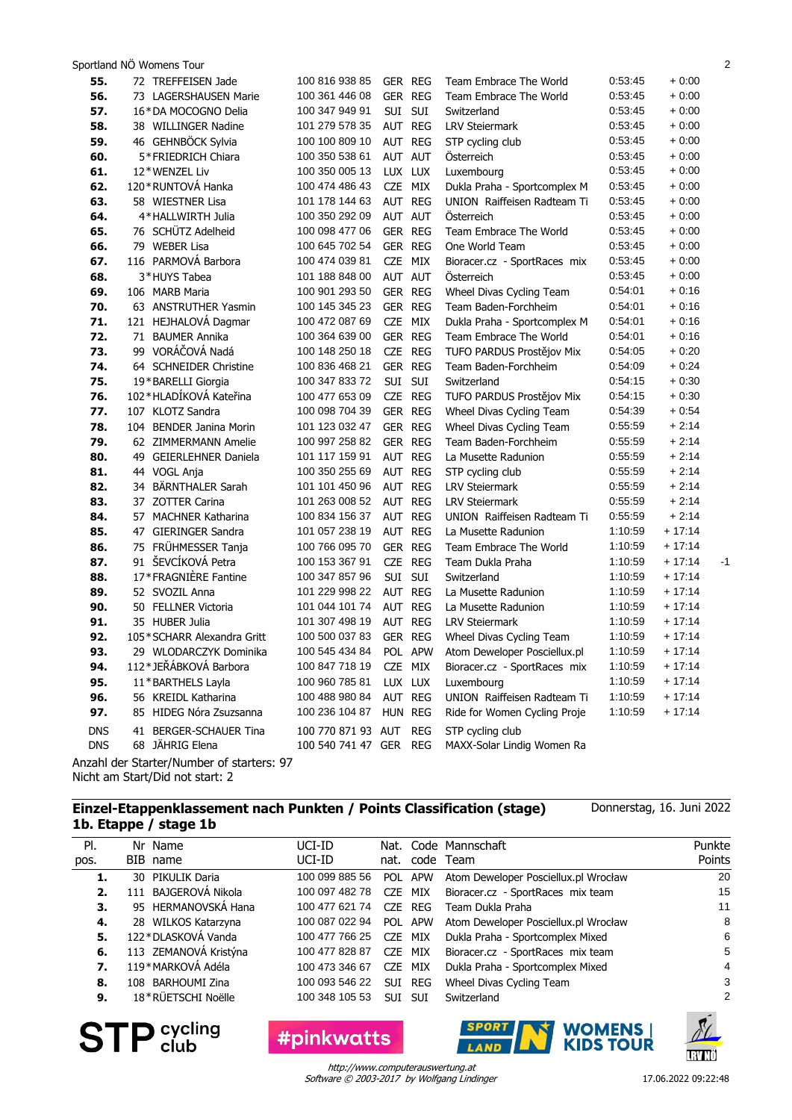|            | Sportland NÖ Womens Tour                  |                        |         |         |                              |         |          | $\overline{2}$ |
|------------|-------------------------------------------|------------------------|---------|---------|------------------------------|---------|----------|----------------|
| 55.        | 72 TREFFEISEN Jade                        | 100 816 938 85         |         | GER REG | Team Embrace The World       | 0:53:45 | $+0.00$  |                |
| 56.        | 73 LAGERSHAUSEN Marie                     | 100 361 446 08         | GER REG |         | Team Embrace The World       | 0:53:45 | $+0:00$  |                |
| 57.        | 16*DA MOCOGNO Delia                       | 100 347 949 91         | SUI SUI |         | Switzerland                  | 0:53:45 | $+0:00$  |                |
| 58.        | 38 WILLINGER Nadine                       | 101 279 578 35         |         | AUT REG | <b>LRV Steiermark</b>        | 0:53:45 | $+0:00$  |                |
| 59.        | 46 GEHNBÖCK Sylvia                        | 100 100 809 10         |         | AUT REG | STP cycling club             | 0:53:45 | $+0:00$  |                |
| 60.        | 5*FRIEDRICH Chiara                        | 100 350 538 61         |         | AUT AUT | Österreich                   | 0:53:45 | $+0:00$  |                |
| 61.        | 12*WENZEL Liv                             | 100 350 005 13         |         | LUX LUX | Luxembourg                   | 0:53:45 | $+0.00$  |                |
| 62.        | 120 * RUNTOVÁ Hanka                       | 100 474 486 43         |         | CZE MIX | Dukla Praha - Sportcomplex M | 0:53:45 | $+0:00$  |                |
| 63.        | 58 WIESTNER Lisa                          | 101 178 144 63         | AUT REG |         | UNION Raiffeisen Radteam Ti  | 0:53:45 | $+0:00$  |                |
| 64.        | 4*HALLWIRTH Julia                         | 100 350 292 09         | AUT AUT |         | Österreich                   | 0:53:45 | $+0:00$  |                |
| 65.        | 76 SCHÜTZ Adelheid                        | 100 098 477 06         |         | GER REG | Team Embrace The World       | 0:53:45 | $+0:00$  |                |
| 66.        | 79 WEBER Lisa                             | 100 645 702 54         |         | GER REG | One World Team               | 0:53:45 | $+0:00$  |                |
| 67.        | 116 PARMOVÁ Barbora                       | 100 474 039 81         |         | CZE MIX | Bioracer.cz - SportRaces mix | 0:53:45 | $+0:00$  |                |
| 68.        | 3*HUYS Tabea                              | 101 188 848 00         |         | AUT AUT | Osterreich                   | 0:53:45 | $+0:00$  |                |
| 69.        | 106 MARB Maria                            | 100 901 293 50         |         | GER REG | Wheel Divas Cycling Team     | 0:54:01 | $+0.16$  |                |
| 70.        | 63 ANSTRUTHER Yasmin                      | 100 145 345 23         |         | GER REG | Team Baden-Forchheim         | 0:54:01 | $+0.16$  |                |
| 71.        | 121 HEJHALOVÁ Dagmar                      | 100 472 087 69         |         | CZE MIX | Dukla Praha - Sportcomplex M | 0:54:01 | $+0:16$  |                |
| 72.        | 71 BAUMER Annika                          | 100 364 639 00         |         | GER REG | Team Embrace The World       | 0:54:01 | $+0:16$  |                |
| 73.        | 99 VORÁČOVÁ Nadá                          | 100 148 250 18         |         | CZE REG | TUFO PARDUS Prostějov Mix    | 0:54:05 | $+0:20$  |                |
| 74.        | 64 SCHNEIDER Christine                    | 100 836 468 21         |         | GER REG | Team Baden-Forchheim         | 0:54:09 | $+0.24$  |                |
| 75.        | 19*BARELLI Giorgia                        | 100 347 833 72         | SUI SUI |         | Switzerland                  | 0:54:15 | $+0:30$  |                |
| 76.        | 102*HLADÍKOVÁ Kateřina                    | 100 477 653 09         |         | CZE REG | TUFO PARDUS Prostějov Mix    | 0:54:15 | $+0:30$  |                |
| 77.        | 107 KLOTZ Sandra                          | 100 098 704 39         |         | GER REG | Wheel Divas Cycling Team     | 0.54.39 | $+0.54$  |                |
| 78.        | 104 BENDER Janina Morin                   | 101 123 032 47         |         | GER REG | Wheel Divas Cycling Team     | 0:55:59 | $+2:14$  |                |
| 79.        | 62 ZIMMERMANN Amelie                      | 100 997 258 82         |         | GER REG | Team Baden-Forchheim         | 0:55:59 | $+2:14$  |                |
| 80.        | 49 GEIERLEHNER Daniela                    | 101 117 159 91         |         | AUT REG | La Musette Radunion          | 0:55:59 | $+2:14$  |                |
| 81.        | 44 VOGL Anja                              | 100 350 255 69         | AUT REG |         | STP cycling club             | 0:55:59 | $+2:14$  |                |
| 82.        | 34 BÄRNTHALER Sarah                       | 101 101 450 96         | AUT REG |         | <b>LRV Steiermark</b>        | 0:55:59 | $+2:14$  |                |
| 83.        | 37 ZOTTER Carina                          | 101 263 008 52         | AUT REG |         | <b>LRV Steiermark</b>        | 0:55:59 | $+2:14$  |                |
| 84.        | 57 MACHNER Katharina                      | 100 834 156 37         |         | AUT REG | UNION Raiffeisen Radteam Ti  | 0:55:59 | $+2:14$  |                |
| 85.        | 47 GIERINGER Sandra                       | 101 057 238 19         |         | AUT REG | La Musette Radunion          | 1:10:59 | $+17:14$ |                |
| 86.        | 75 FRÜHMESSER Tanja                       | 100 766 095 70         |         | GER REG | Team Embrace The World       | 1:10:59 | $+17:14$ |                |
| 87.        | 91 ŠEVCÍKOVÁ Petra                        | 100 153 367 91         |         | CZE REG | Team Dukla Praha             | 1:10:59 | $+17:14$ | $-1$           |
| 88.        | 17*FRAGNIÈRE Fantine                      | 100 347 857 96         | SUI SUI |         | Switzerland                  | 1:10:59 | $+17:14$ |                |
| 89.        | 52 SVOZIL Anna                            | 101 229 998 22         | AUT REG |         | La Musette Radunion          | 1:10:59 | $+17:14$ |                |
| 90.        | 50 FELLNER Victoria                       | 101 044 101 74         | AUT REG |         | La Musette Radunion          | 1:10:59 | $+17:14$ |                |
| 91.        | 35 HUBER Julia                            | 101 307 498 19         | AUT REG |         | <b>LRV Steiermark</b>        | 1:10:59 | $+17:14$ |                |
| 92.        | 105*SCHARR Alexandra Gritt                | 100 500 037 83         |         | GER REG | Wheel Divas Cycling Team     | 1:10:59 | $+17:14$ |                |
| 93.        | 29 WI ODARCZYK Dominika                   | 100 545 434 84         | POL     | APW     | Atom Deweloper Posciellux.pl | 1:10:59 | $+17:14$ |                |
| 94.        | 112*JEŘÁBKOVÁ Barbora                     | 100 847 718 19         | CZE MIX |         | Bioracer.cz - SportRaces mix | 1:10:59 | $+17:14$ |                |
| 95.        | 11*BARTHELS Layla                         | 100 960 785 81         |         | LUX LUX | Luxembourg                   | 1:10:59 | $+17:14$ |                |
| 96.        | 56 KREIDL Katharina                       | 100 488 980 84         | AUT REG |         | UNION Raiffeisen Radteam Ti  | 1:10:59 | $+17:14$ |                |
| 97.        | 85 HIDEG Nóra Zsuzsanna                   | 100 236 104 87         | HUN REG |         | Ride for Women Cycling Proje | 1:10:59 | $+17:14$ |                |
| <b>DNS</b> | 41 BERGER-SCHAUER Tina                    | 100 770 871 93 AUT REG |         |         | STP cycling club             |         |          |                |
| <b>DNS</b> | 68 JÄHRIG Elena                           | 100 540 741 47 GER REG |         |         | MAXX-Solar Lindig Women Ra   |         |          |                |
|            | Anzahl der Starter/Number of starters: 97 |                        |         |         |                              |         |          |                |

Anzahl der Starter/Number of starters: 97 Nicht am Start/Did not start: 2

#### **Einzel-Etappenklassement nach Punkten / Points Classification (stage) 1b. Etappe / stage 1b**

Code Mannschaft code Pl. pos. Nr Name BIB name Team Nat. nat. Punkte Points UCI-ID UCI-ID **1.** 30 PIKULIK Daria 100 099 885 56 POL APW Atom Deweloper Posciellux.pl Wrocław 20 **2.** 111 BAJGEROVÁ Nikola 100 097 482 78 CZE MIX Bioracer.cz - SportRaces mix team 15 **3.** 95 HERMANOVSKÁ Hana 100 477 621 74 CZE REG Team Dukla Praha 11 **4.** 28 WILKOS Katarzyna 100 087 022 94 POL APW Atom Deweloper Posciellux.pl Wrocław 8 **5.** 122\*DLASKOVÁ Vanda 100 477 766 25 CZE MIX Dukla Praha - Sportcomplex Mixed 6 **6.** 113 ZEMANOVÁ Kristýna 100 477 828 87 CZE MIX Bioracer.cz - SportRaces mix team 5 **7.** 119\*MARKOVÁ Adéla 100 473 346 67 CZE MIX Dukla Praha - Sportcomplex Mixed 4 **8.** 108 BARHOUMI Zina 100 093 546 22 SUI REG Wheel Divas Cycling Team 3 **9.** 18\*RÜETSCHI Noëlle 100 348 105 53 SUI SUI Switzerland 2



Software © 2003-2017 by Wolfgang Lindinger http://www.computerauswertung.at

**LAND** 

#pinkwatts

17.06.2022 09:22:48

**IRVNÖ** 

**WOMENS** |<br>KIDS TOUR

Donnerstag, 16. Juni 2022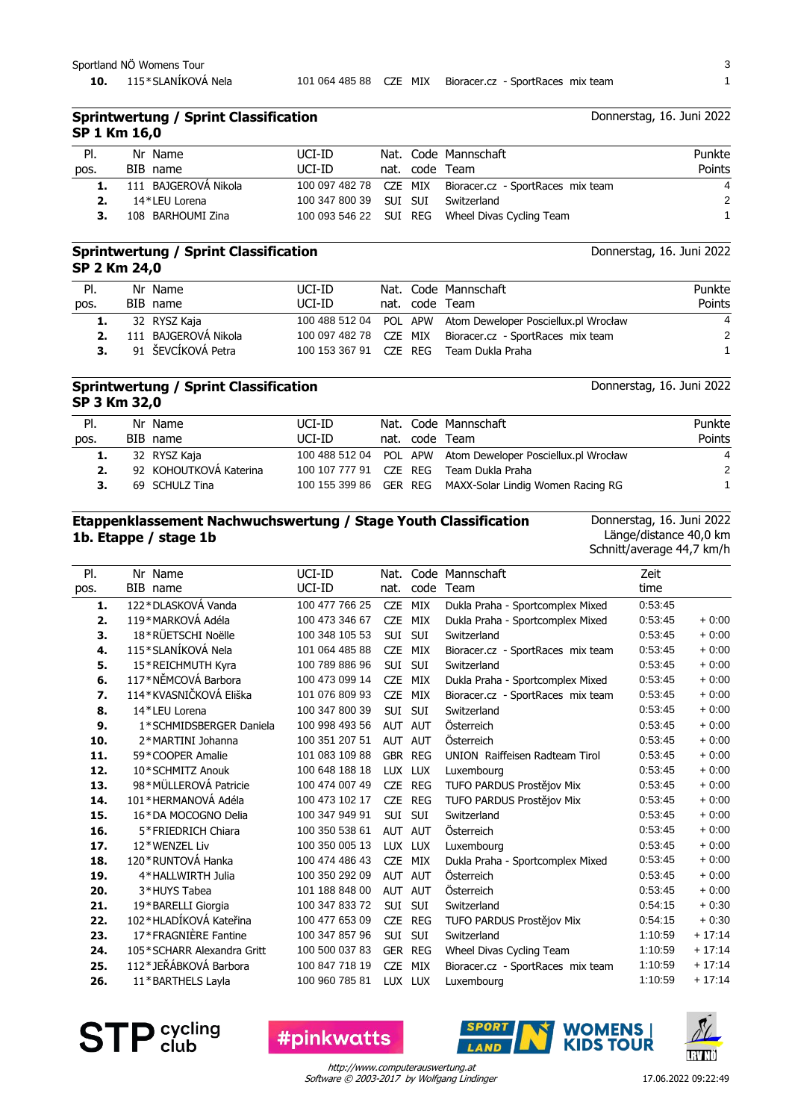**10.** 115\*SLANÍKOVÁ Nela 101 064 485 88 CZE MIX Bioracer.cz - SportRaces mix team 1

# Donnerstag, 16. Juni 2022

|              | <b>Sprintwertung / Sprint Classification</b> |
|--------------|----------------------------------------------|
| SP 1 Km 16,0 |                                              |

| PI.<br>pos. | Nr Name<br>BIB name  | UCI-ID<br>UCI-ID                   |  | Nat. Code Mannschaft<br>nat. code Team                   | Punkte<br>Points |
|-------------|----------------------|------------------------------------|--|----------------------------------------------------------|------------------|
|             | 111 BAJGEROVÁ Nikola |                                    |  | 100 097 482 78 CZE MIX Bioracer.cz - SportRaces mix team | $\overline{4}$   |
|             | 14*LEU Lorena        | 100 347 800 39 SUI SUI Switzerland |  |                                                          | 2                |
|             | 108 BARHOUMI Zina    |                                    |  | 100 093 546 22 SUI REG Wheel Divas Cycling Team          |                  |

#### **Sprintwertung / Sprint Classification SP 2 Km 24,0**

Donnerstag, 16. Juni 2022

| PI.  | Nr Name                 | UCI-ID |  | Nat. Code Mannschaft                                        | Punkte         |
|------|-------------------------|--------|--|-------------------------------------------------------------|----------------|
| pos. | BIB name                | UCI-ID |  | nat. code Team                                              | Points         |
|      | 32 RYSZ Kaja            |        |  | 100 488 512 04 POL APW Atom Deweloper Posciellux.pl Wrocław | $\overline{4}$ |
|      | 2. 111 BAJGEROVÁ Nikola |        |  | 100 097 482 78 CZE MIX Bioracer.cz - SportRaces mix team    | -2             |
| 3.   | 91 ŠEVCÍKOVÁ Petra      |        |  | 100 153 367 91 CZE REG Team Dukla Praha                     |                |

#### **Sprintwertung / Sprint Classification SP 3 Km 32,0**

Nat. Code Mannschaft code Team Pl. pos. Nr Name BIB name nat. Punkte Points UCI-ID UCI-ID **1.** 32 RYSZ Kaja 100 488 512 04 POL APW Atom Deweloper Posciellux.pl Wrocław 4 **2.** 92 KOHOUTKOVÁ Katerina 100 107 777 91 CZE REG Team Dukla Praha 2 **3.** 69 SCHULZ Tina 100 155 399 86 GER REG MAXX-Solar Lindig Women Racing RG 1

### **Etappenklassement Nachwuchswertung / Stage Youth Classification 1b. Etappe / stage 1b**

Donnerstag, 16. Juni 2022

Donnerstag, 16. Juni 2022

Länge/distance 40,0 km Schnitt/average 44,7 km/h

| PI.  | Nr Name                    | UCI-ID         | Nat.           |            | Code Mannschaft                   | Zeit    |          |
|------|----------------------------|----------------|----------------|------------|-----------------------------------|---------|----------|
| pos. | BIB name                   | UCI-ID         | nat.           | code       | Team                              | time    |          |
| 1.   | 122*DLASKOVÁ Vanda         | 100 477 766 25 | <b>CZE</b>     | MIX        | Dukla Praha - Sportcomplex Mixed  | 0:53:45 |          |
| 2.   | 119*MARKOVÁ Adéla          | 100 473 346 67 | <b>CZE</b>     | <b>MIX</b> | Dukla Praha - Sportcomplex Mixed  | 0:53:45 | $+0:00$  |
| 3.   | 18*RÜETSCHI Noëlle         | 100 348 105 53 | SUI            | <b>SUI</b> | Switzerland                       | 0:53:45 | $+0:00$  |
| 4.   | 115*SLANÍKOVÁ Nela         | 101 064 485 88 | <b>CZE</b>     | MIX        | Bioracer.cz - SportRaces mix team | 0:53:45 | $+0:00$  |
| 5.   | 15*REICHMUTH Kyra          | 100 789 886 96 | <b>SUI</b>     | SUI        | Switzerland                       | 0:53:45 | $+0:00$  |
| 6.   | 117*NĚMCOVÁ Barbora        | 100 473 099 14 | <b>CZE</b>     | MIX        | Dukla Praha - Sportcomplex Mixed  | 0:53:45 | $+0:00$  |
| 7.   | 114*KVASNIČKOVÁ Eliška     | 101 076 809 93 | <b>CZE</b>     | MIX        | Bioracer.cz - SportRaces mix team | 0:53:45 | $+0:00$  |
| 8.   | 14*LEU Lorena              | 100 347 800 39 | <b>SUI</b>     | SUI        | Switzerland                       | 0:53:45 | $+0:00$  |
| 9.   | 1*SCHMIDSBERGER Daniela    | 100 998 493 56 | AUT AUT        |            | Österreich                        | 0:53:45 | $+0:00$  |
| 10.  | 2*MARTINI Johanna          | 100 351 207 51 | AUT AUT        |            | Österreich                        | 0:53:45 | $+0:00$  |
| 11.  | 59 * COOPER Amalie         | 101 083 109 88 | GBR REG        |            | UNION Raiffeisen Radteam Tirol    | 0:53:45 | $+0:00$  |
| 12.  | 10*SCHMITZ Anouk           | 100 648 188 18 | LUX LUX        |            | Luxembourg                        | 0:53:45 | $+0:00$  |
| 13.  | 98*MÜLLEROVÁ Patricie      | 100 474 007 49 | <b>CZE</b>     | REG        | TUFO PARDUS Prostějov Mix         | 0:53:45 | $+0:00$  |
| 14.  | 101*HERMANOVÁ Adéla        | 100 473 102 17 | <b>CZE</b>     | <b>REG</b> | TUFO PARDUS Prostějov Mix         | 0:53:45 | $+0:00$  |
| 15.  | 16*DA MOCOGNO Delia        | 100 347 949 91 | SUI            | SUI        | Switzerland                       | 0:53:45 | $+0:00$  |
| 16.  | 5*FRIEDRICH Chiara         | 100 350 538 61 | AUT AUT        |            | Österreich                        | 0:53:45 | $+0:00$  |
| 17.  | 12*WENZEL Liv              | 100 350 005 13 | LUX LUX        |            | Luxembourg                        | 0:53:45 | $+0:00$  |
| 18.  | 120 * RUNTOVÁ Hanka        | 100 474 486 43 | <b>CZE</b>     | MIX        | Dukla Praha - Sportcomplex Mixed  | 0:53:45 | $+0:00$  |
| 19.  | 4*HALLWIRTH Julia          | 100 350 292 09 | AUT AUT        |            | Österreich                        | 0:53:45 | $+0:00$  |
| 20.  | 3*HUYS Tabea               | 101 188 848 00 | AUT AUT        |            | Österreich                        | 0:53:45 | $+0:00$  |
| 21.  | 19*BARELLI Giorgia         | 100 347 833 72 | SUI            | SUI        | Switzerland                       | 0:54:15 | $+0.30$  |
| 22.  | 102*HLADÍKOVÁ Kateřina     | 100 477 653 09 | <b>CZE</b>     | REG        | TUFO PARDUS Prostějov Mix         | 0:54:15 | $+0.30$  |
| 23.  | 17*FRAGNIÈRE Fantine       | 100 347 857 96 | SUI            | SUI        | Switzerland                       | 1:10:59 | $+17:14$ |
| 24.  | 105*SCHARR Alexandra Gritt | 100 500 037 83 | <b>GER REG</b> |            | Wheel Divas Cycling Team          | 1:10:59 | $+17:14$ |
| 25.  | 112*JEŘÁBKOVÁ Barbora      | 100 847 718 19 | <b>CZE</b>     | MIX        | Bioracer.cz - SportRaces mix team | 1:10:59 | $+17:14$ |
| 26.  | 11*BARTHELS Layla          | 100 960 785 81 | LUX LUX        |            | Luxembourg                        | 1:10:59 | $+17:14$ |

Software © 2003-2017 by Wolfgang Lindinger http://www.computerauswertung.at



**#pinkwatts** 



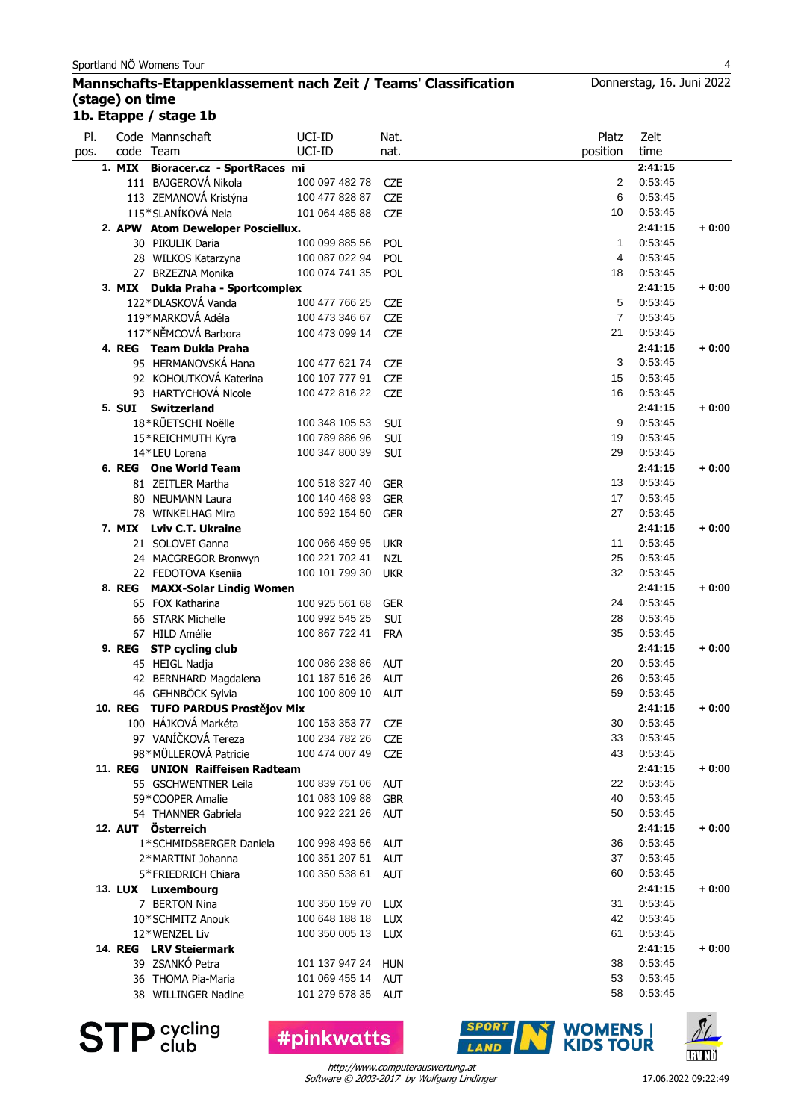#### **Mannschafts-Etappenklassement nach Zeit / Teams' Classification (stage) on time 1b. Etappe / stage 1b**

| PI.  | Code Mannschaft                            | UCI-ID         | Nat.       | Platz          | Zeit               |         |
|------|--------------------------------------------|----------------|------------|----------------|--------------------|---------|
| pos. | code Team                                  | UCI-ID         | nat.       | position       | time               |         |
|      | 1. MIX Bioracer.cz - SportRaces mi         |                |            |                | 2:41:15            |         |
|      | 111 BAJGEROVÁ Nikola                       | 100 097 482 78 | <b>CZE</b> | 2              | 0:53:45            |         |
|      | 113 ZEMANOVÁ Kristýna                      | 100 477 828 87 | <b>CZE</b> | 6              | 0:53:45            |         |
|      | 115*SLANÍKOVÁ Nela                         | 101 064 485 88 | <b>CZE</b> | 10             | 0:53:45            |         |
|      | 2. APW Atom Deweloper Posciellux.          |                |            |                | 2:41:15            | $+0:00$ |
|      | 30 PIKULIK Daria                           | 100 099 885 56 | POL        | $\mathbf{1}$   | 0:53:45            |         |
|      | 28 WILKOS Katarzyna                        | 100 087 022 94 | POL        | 4              | 0:53:45            |         |
|      | 27 BRZEZNA Monika                          | 100 074 741 35 | POL        | 18             | 0:53:45            |         |
|      | 3. MIX Dukla Praha - Sportcomplex          |                |            |                | 2:41:15            | $+0:00$ |
|      | 122*DLASKOVÁ Vanda                         | 100 477 766 25 | <b>CZE</b> | 5              | 0:53:45            |         |
|      | 119*MARKOVÁ Adéla                          | 100 473 346 67 | <b>CZE</b> | $\overline{7}$ | 0:53:45            |         |
|      | 117*NĚMCOVÁ Barbora                        | 100 473 099 14 | <b>CZE</b> | 21             | 0:53:45            |         |
|      | 4. REG Team Dukla Praha                    |                |            |                | 2:41:15            | $+0:00$ |
|      | 95 HERMANOVSKÁ Hana                        | 100 477 621 74 | <b>CZE</b> | 3              | 0:53:45            |         |
|      | 92 KOHOUTKOVÁ Katerina                     | 100 107 777 91 | <b>CZE</b> | 15             | 0:53:45            |         |
|      | 93 HARTYCHOVÁ Nicole                       | 100 472 816 22 | <b>CZE</b> | 16             | 0:53:45            |         |
|      | 5. SUI Switzerland                         |                |            |                | 2:41:15            | $+0:00$ |
|      | 18*RÜETSCHI Noëlle                         | 100 348 105 53 | SUI        | 9              | 0:53:45            |         |
|      | 15*REICHMUTH Kyra                          | 100 789 886 96 | SUI        | 19             | 0:53:45            |         |
|      | 14*LEU Lorena                              | 100 347 800 39 | <b>SUI</b> | 29             | 0:53:45            |         |
|      | 6. REG One World Team                      |                |            |                | 2:41:15            | $+0:00$ |
|      | 81 ZEITLER Martha                          | 100 518 327 40 | <b>GER</b> | 13             | 0:53:45            |         |
|      | 80 NEUMANN Laura                           | 100 140 468 93 | <b>GER</b> | 17             | 0:53:45            |         |
|      | 78 WINKELHAG Mira                          | 100 592 154 50 | <b>GER</b> | 27             | 0:53:45            |         |
|      | 7. MIX Lviv C.T. Ukraine                   |                |            |                | 2:41:15            | $+0:00$ |
|      | 21 SOLOVEI Ganna                           | 100 066 459 95 | <b>UKR</b> | 11             | 0:53:45            |         |
|      | 24 MACGREGOR Bronwyn                       | 100 221 702 41 | <b>NZL</b> | 25             | 0:53:45            |         |
|      | 22 FEDOTOVA Kseniia                        | 100 101 799 30 | <b>UKR</b> | 32             | 0:53:45            |         |
|      | 8. REG MAXX-Solar Lindig Women             |                |            |                | 2:41:15            | $+0:00$ |
|      | 65 FOX Katharina                           | 100 925 561 68 | <b>GER</b> | 24             | 0:53:45            |         |
|      | 66 STARK Michelle                          | 100 992 545 25 | SUI        | 28             | 0:53:45            |         |
|      | 67 HILD Amélie                             | 100 867 722 41 | <b>FRA</b> | 35             | 0:53:45            |         |
|      | 9. REG STP cycling club                    |                |            |                | 2:41:15            | $+0:00$ |
|      | 45 HEIGL Nadja                             | 100 086 238 86 | <b>AUT</b> | 20             | 0:53:45            |         |
|      | 42 BERNHARD Magdalena                      | 101 187 516 26 | <b>AUT</b> | 26             | 0:53:45            |         |
|      | 46 GEHNBÖCK Sylvia                         | 100 100 809 10 | <b>AUT</b> | 59             | 0:53:45            |         |
|      | 10. REG TUFO PARDUS Prostějov Mix          |                |            |                | 2:41:15            | $+0:00$ |
|      | 100 HÁJKOVÁ Markéta                        | 100 153 353 77 |            | 30             | 0:53:45            |         |
|      | 97 VANÍČKOVÁ Tereza                        |                | <b>CZE</b> | 33             | 0:53:45            |         |
|      | 98*MÜLLEROVÁ Patricie                      | 100 234 782 26 | <b>CZE</b> | 43             | 0:53:45            |         |
|      | 11. REG UNION Raiffeisen Radteam           | 100 474 007 49 | <b>CZE</b> |                |                    |         |
|      |                                            |                |            | 22             | 2:41:15<br>0:53:45 | $+0:00$ |
|      | 55 GSCHWENTNER Leila<br>59 * COOPER Amalie | 100 839 751 06 | AUT        |                |                    |         |
|      |                                            | 101 083 109 88 | <b>GBR</b> | 40             | 0:53:45            |         |
|      | 54 THANNER Gabriela                        | 100 922 221 26 | <b>AUT</b> | 50             | 0:53:45            |         |
|      | 12. AUT Österreich                         |                |            |                | 2:41:15            | $+0:00$ |
|      | 1*SCHMIDSBERGER Daniela                    | 100 998 493 56 | <b>AUT</b> | 36             | 0:53:45            |         |
|      | 2*MARTINI Johanna                          | 100 351 207 51 | <b>AUT</b> | 37             | 0:53:45            |         |
|      | 5*FRIEDRICH Chiara                         | 100 350 538 61 | <b>AUT</b> | 60             | 0:53:45            |         |
|      | 13. LUX Luxembourg                         |                |            |                | 2:41:15            | $+0:00$ |
|      | 7 BERTON Nina                              | 100 350 159 70 | <b>LUX</b> | 31             | 0:53:45            |         |
|      | 10*SCHMITZ Anouk                           | 100 648 188 18 | <b>LUX</b> | 42             | 0:53:45            |         |
|      | 12*WENZEL Liv                              | 100 350 005 13 | LUX        | 61             | 0:53:45            |         |
|      | 14. REG LRV Steiermark                     |                |            |                | 2:41:15            | $+0:00$ |
|      | 39 ZSANKÓ Petra                            | 101 137 947 24 | <b>HUN</b> | 38             | 0:53:45            |         |
|      | 36 THOMA Pia-Maria                         | 101 069 455 14 | AUT        | 53             | 0:53:45            |         |
|      | 38 WILLINGER Nadine                        | 101 279 578 35 | AUT        | 58             | 0:53:45            |         |
|      |                                            |                |            |                |                    |         |

**STP** Sycling

Software © 2003-2017 by Wolfgang Lindinger http://www.computerauswertung.at

**#pinkwatts** 

**SPORT** 

LAND



**IRVNÖ** 

**WOMENS** |<br>KIDS TOUR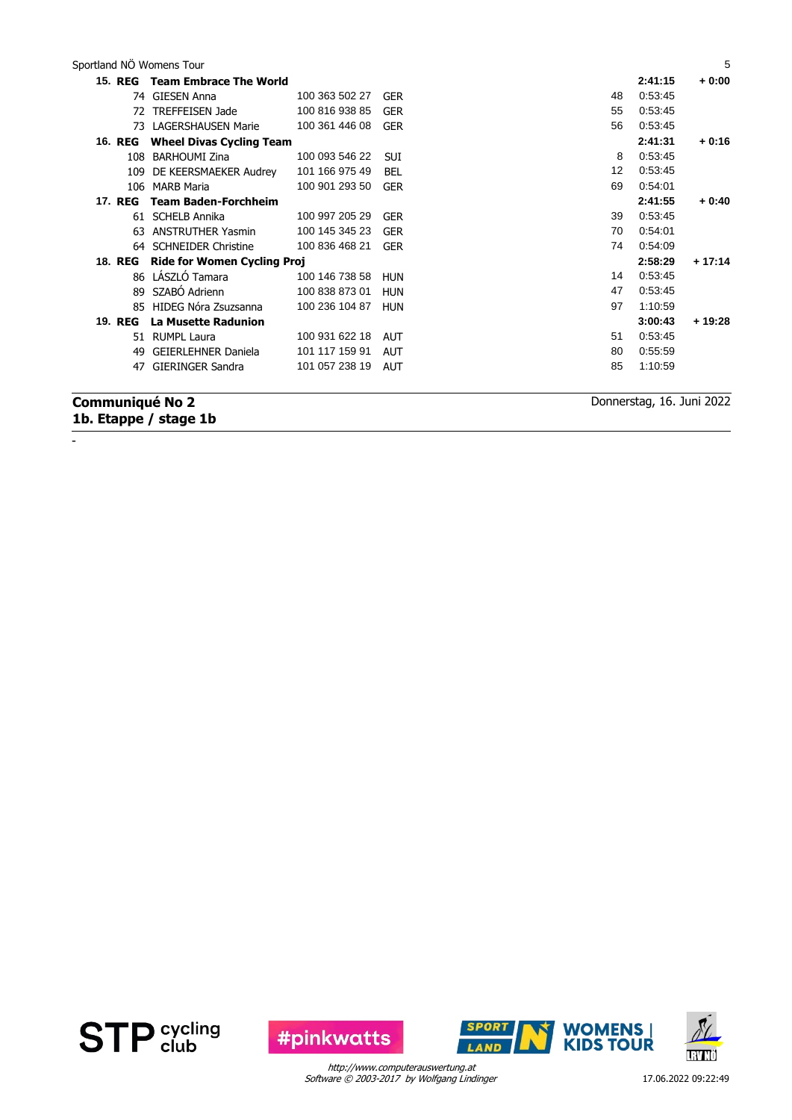Sportland NÖ Womens Tour 5

| <b>15. REG</b> | <b>Team Embrace The World</b>      |                |            |                   | 2:41:15 | $+0:00$  |
|----------------|------------------------------------|----------------|------------|-------------------|---------|----------|
| 74.            | GIESEN Anna                        | 100 363 502 27 | <b>GER</b> | 48                | 0:53:45 |          |
| 72             | <b>TREFFEISEN Jade</b>             | 100 816 938 85 | <b>GER</b> | 55                | 0:53:45 |          |
| 73             | <b>LAGERSHAUSEN Marie</b>          | 100 361 446 08 | <b>GER</b> | 56                | 0:53:45 |          |
| <b>16. REG</b> | <b>Wheel Divas Cycling Team</b>    |                |            |                   | 2:41:31 | $+0:16$  |
| 108            | <b>BARHOUMI Zina</b>               | 100 093 546 22 | <b>SUI</b> | 8                 | 0.53.45 |          |
| 109            | DE KEERSMAEKER Audrey              | 101 166 975 49 | BEL        | $12 \overline{ }$ | 0:53:45 |          |
| 106            | <b>MARB Maria</b>                  | 100 901 293 50 | <b>GER</b> | 69                | 0:54:01 |          |
| 17. REG        | <b>Team Baden-Forchheim</b>        |                |            |                   | 2:41:55 | $+0:40$  |
|                | 61 SCHELB Annika                   | 100 997 205 29 | <b>GER</b> | 39                | 0:53:45 |          |
| 63             | <b>ANSTRUTHER Yasmin</b>           | 100 145 345 23 | <b>GER</b> | 70                | 0.54.01 |          |
|                | 64 SCHNEIDER Christine             | 100 836 468 21 | <b>GER</b> | 74                | 0:54:09 |          |
| <b>18. REG</b> | <b>Ride for Women Cycling Proj</b> |                |            |                   | 2:58:29 | $+17:14$ |
|                | 86 LÁSZLÓ Tamara                   | 100 146 738 58 | <b>HUN</b> | 14                | 0:53:45 |          |
| 89             | SZABÓ Adrienn                      | 100 838 873 01 | <b>HUN</b> | 47                | 0:53:45 |          |
| 85             | HIDEG Nóra Zsuzsanna               | 100 236 104 87 | HUN        | 97                | 1:10:59 |          |
| 19. REG        | La Musette Radunion                |                |            |                   | 3:00:43 | $+19:28$ |
|                | 51 RUMPL Laura                     | 100 931 622 18 | <b>AUT</b> | 51                | 0:53:45 |          |
| 49             | <b>GEIERLEHNER Daniela</b>         | 101 117 159 91 | <b>AUT</b> | 80                | 0.55.59 |          |
| 47             | <b>GIERINGER Sandra</b>            | 101 057 238 19 | <b>AUT</b> | 85                | 1:10:59 |          |
|                |                                    |                |            |                   |         |          |

## **Communiqué No 2 1b. Etappe / stage 1b**

-

Donnerstag, 16. Juni 2022





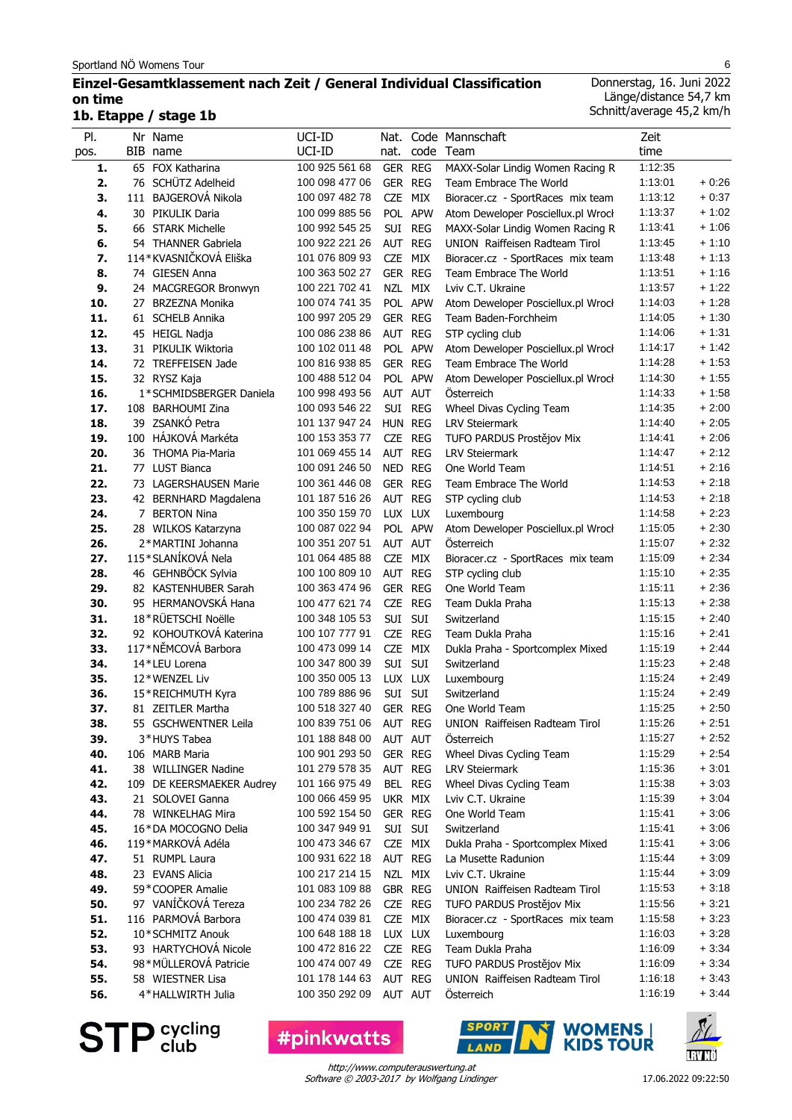### **Einzel-Gesamtklassement nach Zeit / General Individual Classification on time 1b. Etappe / stage 1b**

Donnerstag, 16. Juni 2022 Länge/distance 54,7 km Schnitt/average 45,2 km/h

| PI.        | Nr Name<br>BIB name                      | UCI-ID<br>UCI-ID                 |                |         | Nat. Code Mannschaft<br>code Team                                       | Zeit<br>time       |                    |
|------------|------------------------------------------|----------------------------------|----------------|---------|-------------------------------------------------------------------------|--------------------|--------------------|
| pos.       |                                          |                                  | nat.           |         |                                                                         |                    |                    |
| 1.         | 65 FOX Katharina                         | 100 925 561 68                   | GER REG        |         | MAXX-Solar Lindig Women Racing R                                        | 1:12:35            |                    |
| 2.         | 76 SCHÜTZ Adelheid                       | 100 098 477 06<br>100 097 482 78 | GER REG        |         | Team Embrace The World                                                  | 1:13:01<br>1:13:12 | $+0.26$<br>$+0:37$ |
| 3.<br>4.   | 111 BAJGEROVÁ Nikola<br>30 PIKULIK Daria | 100 099 885 56                   | CZE MIX        | POL APW | Bioracer.cz - SportRaces mix team<br>Atom Deweloper Posciellux.pl Wrocł | 1:13:37            | $+1:02$            |
| 5.         | 66 STARK Michelle                        | 100 992 545 25                   |                | SUI REG | MAXX-Solar Lindig Women Racing R                                        | 1:13:41            | $+1:06$            |
| 6.         | 54 THANNER Gabriela                      | 100 922 221 26                   | AUT REG        |         | UNION Raiffeisen Radteam Tirol                                          | 1:13:45            | $+1:10$            |
| 7.         | 114*KVASNIČKOVÁ Eliška                   | 101 076 809 93                   | CZE            | MIX     | Bioracer.cz - SportRaces mix team                                       | 1:13:48            | $+1:13$            |
| 8.         | 74 GIESEN Anna                           | 100 363 502 27                   | GER REG        |         | Team Embrace The World                                                  | 1:13:51            | $+1:16$            |
| 9.         | 24 MACGREGOR Bronwyn                     | 100 221 702 41                   |                | NZL MIX | Lviv C.T. Ukraine                                                       | 1:13:57            | $+1:22$            |
| 10.        | 27 BRZEZNA Monika                        | 100 074 741 35                   |                | POL APW | Atom Deweloper Posciellux.pl Wrocł                                      | 1:14:03            | $+1:28$            |
| 11.        | 61 SCHELB Annika                         | 100 997 205 29                   | GER REG        |         | Team Baden-Forchheim                                                    | 1:14:05            | $+1:30$            |
| 12.        | 45 HEIGL Nadja                           | 100 086 238 86                   |                | AUT REG | STP cycling club                                                        | 1:14:06            | $+1:31$            |
| 13.        | 31 PIKULIK Wiktoria                      | 100 102 011 48                   |                | POL APW | Atom Deweloper Posciellux.pl Wrocł                                      | 1:14:17            | $+1:42$            |
| 14.        | 72 TREFFEISEN Jade                       | 100 816 938 85                   | GER REG        |         | Team Embrace The World                                                  | 1:14:28            | $+1:53$            |
| 15.        | 32 RYSZ Kaja                             | 100 488 512 04                   |                | POL APW | Atom Deweloper Posciellux.pl Wrocł                                      | 1:14:30            | $+1:55$            |
| 16.        | 1*SCHMIDSBERGER Daniela                  | 100 998 493 56                   | AUT AUT        |         | <b>Osterreich</b>                                                       | 1:14:33            | $+1:58$            |
| 17.        | 108 BARHOUMI Zina                        | 100 093 546 22                   |                | SUI REG | Wheel Divas Cycling Team                                                | 1:14:35            | $+2:00$            |
| 18.        | 39 ZSANKÓ Petra                          | 101 137 947 24                   | HUN REG        |         | <b>LRV Steiermark</b>                                                   | 1:14:40            | $+2:05$            |
| 19.        | 100 HÁJKOVÁ Markéta                      | 100 153 353 77                   |                | CZE REG | TUFO PARDUS Prostějov Mix                                               | 1:14:41            | $+2:06$            |
| 20.        | 36 THOMA Pia-Maria                       | 101 069 455 14                   | AUT REG        |         | <b>LRV Steiermark</b>                                                   | 1:14:47            | $+2:12$            |
| 21.        | 77 LUST Bianca                           | 100 091 246 50                   | NED REG        |         | One World Team                                                          | 1:14:51            | $+2:16$            |
| 22.        | 73 LAGERSHAUSEN Marie                    | 100 361 446 08                   | GER REG        |         | Team Embrace The World                                                  | 1:14:53            | $+2:18$            |
| 23.        | 42 BERNHARD Magdalena                    | 101 187 516 26                   | AUT REG        |         | STP cycling club                                                        | 1:14:53            | $+2:18$            |
| 24.        | 7 BERTON Nina                            | 100 350 159 70                   | LUX LUX        |         | Luxembourg                                                              | 1:14:58            | $+2:23$            |
| 25.        | 28 WILKOS Katarzyna                      | 100 087 022 94                   |                | POL APW | Atom Deweloper Posciellux.pl Wrocł                                      | 1:15:05            | $+2:30$            |
| 26.        | 2*MARTINI Johanna                        | 100 351 207 51                   | AUT AUT        |         | Osterreich                                                              | 1:15:07            | $+2:32$            |
| 27.        | 115*SLANÍKOVÁ Nela                       | 101 064 485 88                   |                | CZE MIX | Bioracer.cz - SportRaces mix team                                       | 1:15:09            | $+2:34$            |
| 28.        | 46 GEHNBÖCK Sylvia                       | 100 100 809 10                   | AUT REG        |         | STP cycling club                                                        | 1:15:10            | $+2:35$            |
| 29.        | 82 KASTENHUBER Sarah                     | 100 363 474 96                   | GER REG        |         | One World Team                                                          | 1:15:11            | $+2:36$            |
| 30.        | 95 HERMANOVSKÁ Hana                      | 100 477 621 74                   |                | CZE REG | Team Dukla Praha                                                        | 1:15:13            | $+2:38$            |
| 31.        | 18*RÜETSCHI Noëlle                       | 100 348 105 53                   | SUI SUI        |         | Switzerland                                                             | 1:15:15            | $+2:40$            |
| 32.        | 92 KOHOUTKOVÁ Katerina                   | 100 107 777 91                   | CZE REG        |         | Team Dukla Praha                                                        | 1:15:16            | $+2:41$            |
| 33.        | 117*NĚMCOVÁ Barbora                      | 100 473 099 14                   | <b>CZE</b>     | MIX     | Dukla Praha - Sportcomplex Mixed                                        | 1:15:19            | $+2:44$            |
| 34.<br>35. | 14*LEU Lorena<br>12*WENZEL Liv           | 100 347 800 39<br>100 350 005 13 | SUI<br>LUX LUX | SUI     | Switzerland<br>Luxembourg                                               | 1:15:23<br>1:15:24 | $+2:48$<br>$+2:49$ |
| 36.        |                                          | 100 789 886 96                   | SUI SUI        |         | Switzerland                                                             | 1:15:24            | $+2:49$            |
| 37.        | 15*REICHMUTH Kyra<br>81 ZEITLER Martha   | 100 518 327 40                   | GER REG        |         | One World Team                                                          | 1:15:25            | $+2:50$            |
| 38.        | 55 GSCHWENTNER Leila                     | 100 839 751 06                   | AUT REG        |         | UNION Raiffeisen Radteam Tirol                                          | 1:15:26            | $+2:51$            |
| 39.        | 3*HUYS Tabea                             | 101 188 848 00                   | AUT AUT        |         | Osterreich                                                              | 1:15:27            | $+2:52$            |
| 40.        | 106 MARB Maria                           | 100 901 293 50                   | GER REG        |         | Wheel Divas Cycling Team                                                | 1:15:29            | $+2:54$            |
| 41.        | 38 WILLINGER Nadine                      | 101 279 578 35                   | AUT REG        |         | <b>LRV Steiermark</b>                                                   | 1:15:36            | $+3:01$            |
| 42.        | 109 DE KEERSMAEKER Audrey                | 101 166 975 49                   |                | BEL REG | Wheel Divas Cycling Team                                                | 1:15:38            | $+3:03$            |
| 43.        | 21 SOLOVEI Ganna                         | 100 066 459 95                   | UKR MIX        |         | Lviv C.T. Ukraine                                                       | 1:15:39            | $+3:04$            |
| 44.        | 78 WINKELHAG Mira                        | 100 592 154 50                   | GER REG        |         | One World Team                                                          | 1:15:41            | + 3:06             |
| 45.        | 16*DA MOCOGNO Delia                      | 100 347 949 91                   |                | SUI SUI | Switzerland                                                             | 1:15:41            | $+3:06$            |
| 46.        | 119*MARKOVÁ Adéla                        | 100 473 346 67                   |                | CZE MIX | Dukla Praha - Sportcomplex Mixed                                        | 1:15:41            | $+3:06$            |
| 47.        | 51 RUMPL Laura                           | 100 931 622 18                   | AUT REG        |         | La Musette Radunion                                                     | 1:15:44            | $+3:09$            |
| 48.        | 23 EVANS Alicia                          | 100 217 214 15                   | NZL MIX        |         | Lviv C.T. Ukraine                                                       | 1:15:44            | $+3:09$            |
| 49.        | 59*COOPER Amalie                         | 101 083 109 88                   |                | GBR REG | UNION Raiffeisen Radteam Tirol                                          | 1:15:53            | $+3:18$            |
| 50.        | 97 VANÍČKOVÁ Tereza                      | 100 234 782 26                   |                | CZE REG | TUFO PARDUS Prostějov Mix                                               | 1:15:56            | $+3:21$            |
| 51.        | 116 PARMOVÁ Barbora                      | 100 474 039 81                   |                | CZE MIX | Bioracer.cz - SportRaces mix team                                       | 1:15:58            | $+3:23$            |
| 52.        | 10*SCHMITZ Anouk                         | 100 648 188 18                   | LUX LUX        |         | Luxembourg                                                              | 1:16:03            | $+3:28$            |
| 53.        | 93 HARTYCHOVÁ Nicole                     | 100 472 816 22                   |                | CZE REG | Team Dukla Praha                                                        | 1:16:09            | $+3:34$            |
| 54.        | 98*MÜLLEROVÁ Patricie                    | 100 474 007 49                   |                | CZE REG | TUFO PARDUS Prostějov Mix                                               | 1:16:09            | $+3:34$            |
| 55.        | 58 WIESTNER Lisa<br>4*HALLWIRTH Julia    | 101 178 144 63                   | AUT REG        | AUT AUT | UNION Raiffeisen Radteam Tirol                                          | 1:16:18<br>1:16:19 | $+3.43$<br>$+3:44$ |
| 56.        |                                          | 100 350 292 09                   |                |         | Osterreich                                                              |                    |                    |

**STP** cycling

**#pinkwatts** 



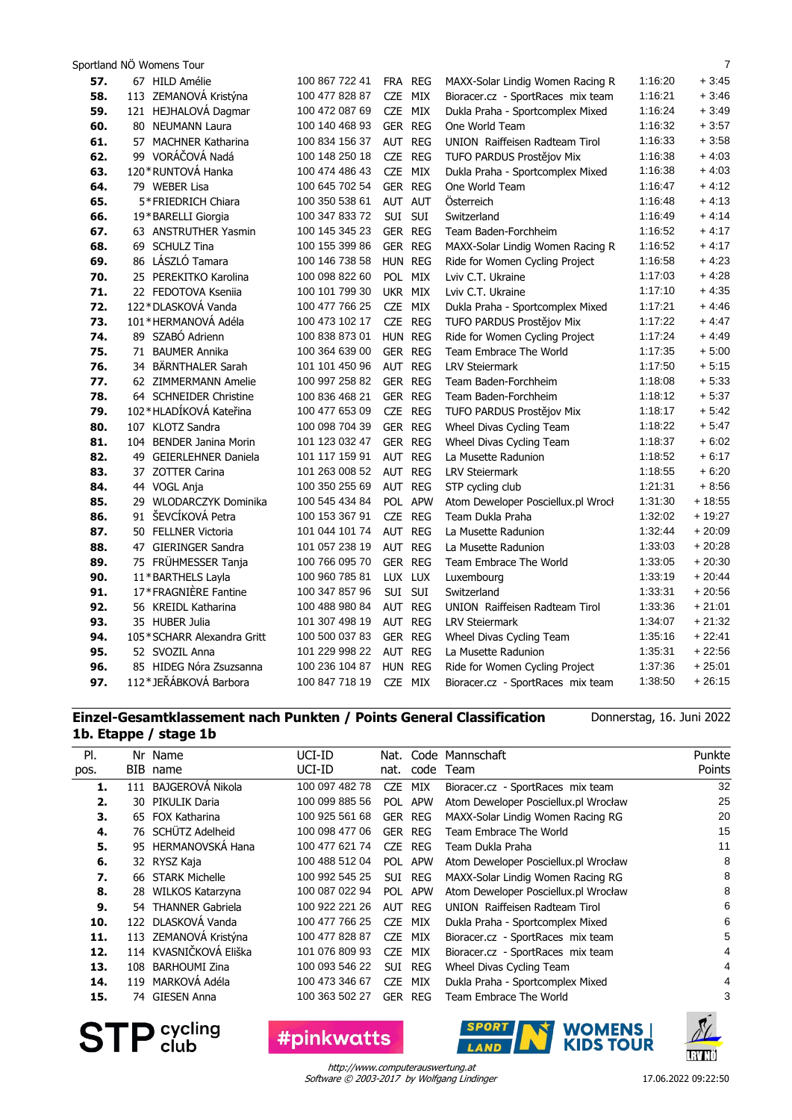|     | Sportland NÖ Womens Tour   |                |                          |                                    |         | $\overline{7}$ |
|-----|----------------------------|----------------|--------------------------|------------------------------------|---------|----------------|
| 57. | 67 HILD Amélie             | 100 867 722 41 | FRA REG                  | MAXX-Solar Lindig Women Racing R   | 1:16:20 | $+3:45$        |
| 58. | 113 ZEMANOVÁ Kristýna      | 100 477 828 87 | CZE MIX                  | Bioracer.cz - SportRaces mix team  | 1:16:21 | $+3.46$        |
| 59. | 121 HEJHALOVÁ Dagmar       | 100 472 087 69 | CZE MIX                  | Dukla Praha - Sportcomplex Mixed   | 1:16:24 | $+3.49$        |
| 60. | 80 NEUMANN Laura           | 100 140 468 93 | GER REG                  | One World Team                     | 1:16:32 | $+3:57$        |
| 61. | 57 MACHNER Katharina       | 100 834 156 37 | AUT REG                  | UNION Raiffeisen Radteam Tirol     | 1:16:33 | $+3:58$        |
| 62. | 99 VORÁČOVÁ Nadá           | 100 148 250 18 | CZE REG                  | TUFO PARDUS Prostějov Mix          | 1:16:38 | $+4:03$        |
| 63. | 120 * RUNTOVÁ Hanka        | 100 474 486 43 | CZE MIX                  | Dukla Praha - Sportcomplex Mixed   | 1:16:38 | $+4:03$        |
| 64. | 79 WEBER Lisa              | 100 645 702 54 | GER REG                  | One World Team                     | 1:16:47 | $+4:12$        |
| 65. | 5*FRIEDRICH Chiara         | 100 350 538 61 | AUT AUT                  | Österreich                         | 1:16:48 | $+4:13$        |
| 66. | 19*BARELLI Giorgia         | 100 347 833 72 | SUI SUI                  | Switzerland                        | 1:16:49 | $+4.14$        |
| 67. | 63 ANSTRUTHER Yasmin       | 100 145 345 23 | <b>GER REG</b>           | Team Baden-Forchheim               | 1:16:52 | $+4:17$        |
| 68. | 69 SCHULZ Tina             | 100 155 399 86 | <b>GER REG</b>           | MAXX-Solar Lindig Women Racing R   | 1:16:52 | $+4:17$        |
| 69. | 86 LÁSZLÓ Tamara           | 100 146 738 58 | HUN REG                  | Ride for Women Cycling Project     | 1:16:58 | $+4.23$        |
| 70. | 25 PEREKITKO Karolina      | 100 098 822 60 | POL MIX                  | Lviv C.T. Ukraine                  | 1:17:03 | $+4.28$        |
| 71. | 22 FEDOTOVA Ksenija        | 100 101 799 30 | UKR MIX                  | Lviv C.T. Ukraine                  | 1:17:10 | $+4.35$        |
| 72. | 122*DLASKOVÁ Vanda         | 100 477 766 25 | CZE MIX                  | Dukla Praha - Sportcomplex Mixed   | 1:17:21 | $+4.46$        |
| 73. | 101*HERMANOVÁ Adéla        | 100 473 102 17 | CZE REG                  | TUFO PARDUS Prostějov Mix          | 1:17:22 | $+4.47$        |
| 74. | 89 SZABÓ Adrienn           | 100 838 873 01 | HUN REG                  | Ride for Women Cycling Project     | 1:17:24 | $+4.49$        |
| 75. | 71 BAUMER Annika           | 100 364 639 00 | GER REG                  | Team Embrace The World             | 1:17:35 | $+5:00$        |
| 76. | 34 BÄRNTHALER Sarah        | 101 101 450 96 | AUT REG                  | <b>LRV Steiermark</b>              | 1:17:50 | $+5:15$        |
| 77. | 62 ZIMMERMANN Amelie       | 100 997 258 82 | <b>GER REG</b>           | Team Baden-Forchheim               | 1:18:08 | $+5.33$        |
| 78. | 64 SCHNEIDER Christine     | 100 836 468 21 | <b>GER REG</b>           | Team Baden-Forchheim               | 1:18:12 | $+5.37$        |
| 79. | 102*HLADÍKOVÁ Kateřina     | 100 477 653 09 | CZE REG                  | TUFO PARDUS Prostějov Mix          | 1:18:17 | $+5.42$        |
| 80. | 107 KLOTZ Sandra           | 100 098 704 39 | GER REG                  | Wheel Divas Cycling Team           | 1:18:22 | $+5.47$        |
| 81. | 104 BENDER Janina Morin    | 101 123 032 47 | GER REG                  | Wheel Divas Cycling Team           | 1:18:37 | $+6:02$        |
| 82. | 49 GEIERLEHNER Daniela     | 101 117 159 91 | AUT REG                  | La Musette Radunion                | 1:18:52 | $+6:17$        |
| 83. | 37 ZOTTER Carina           | 101 263 008 52 | AUT REG                  | <b>LRV Steiermark</b>              | 1:18:55 | $+6:20$        |
| 84. | 44 VOGL Anja               | 100 350 255 69 | AUT REG                  | STP cycling club                   | 1:21:31 | $+8:56$        |
| 85. | 29 WLODARCZYK Dominika     | 100 545 434 84 | POL APW                  | Atom Deweloper Posciellux.pl Wrocł | 1:31:30 | $+18:55$       |
| 86. | 91 ŠEVCÍKOVÁ Petra         | 100 153 367 91 | CZE REG                  | Team Dukla Praha                   | 1:32:02 | $+19:27$       |
| 87. | 50 FELLNER Victoria        | 101 044 101 74 | AUT REG                  | La Musette Radunion                | 1:32:44 | $+20:09$       |
| 88. | 47 GIERINGER Sandra        | 101 057 238 19 | AUT REG                  | La Musette Radunion                | 1:33:03 | $+20:28$       |
| 89. | 75 FRÜHMESSER Tanja        | 100 766 095 70 | <b>GER REG</b>           | Team Embrace The World             | 1:33:05 | $+20:30$       |
| 90. | 11*BARTHELS Layla          | 100 960 785 81 | LUX LUX                  | Luxembourg                         | 1:33:19 | $+20.44$       |
| 91. | 17*FRAGNIÈRE Fantine       | 100 347 857 96 | SUI SUI                  | Switzerland                        | 1:33:31 | $+20:56$       |
| 92. | 56 KREIDL Katharina        | 100 488 980 84 | AUT REG                  | UNION Raiffeisen Radteam Tirol     | 1:33:36 | $+21:01$       |
| 93. | 35 HUBER Julia             | 101 307 498 19 | AUT REG                  | <b>LRV Steiermark</b>              | 1:34:07 | $+21:32$       |
| 94. | 105*SCHARR Alexandra Gritt | 100 500 037 83 | GER REG                  | Wheel Divas Cycling Team           | 1:35:16 | $+22:41$       |
| 95. | 52 SVOZIL Anna             | 101 229 998 22 | AUT REG                  | La Musette Radunion                | 1:35:31 | $+22:56$       |
| 96. | 85 HIDEG Nóra Zsuzsanna    | 100 236 104 87 | <b>HUN</b><br><b>REG</b> | Ride for Women Cycling Project     | 1:37:36 | $+25:01$       |
| 97. | 112*JEŘÁBKOVÁ Barbora      | 100 847 718 19 | CZE MIX                  | Bioracer.cz - SportRaces mix team  | 1:38:50 | $+26:15$       |
|     |                            |                |                          |                                    |         |                |

#### **Einzel-Gesamtklassement nach Punkten / Points General Classification 1b. Etappe / stage 1b**

Donnerstag, 16. Juni 2022

| PI.  |     | Nr Name                 | UCI-ID          | Nat.       |                | Code Mannschaft                      | Punkte |
|------|-----|-------------------------|-----------------|------------|----------------|--------------------------------------|--------|
| pos. | BIB | name                    | UCI-ID          | nat.       | code           | Team                                 | Points |
| 1.   | 111 | BAJGEROVÁ Nikola        | 100 097 482 78  | <b>CZE</b> | <b>MIX</b>     | Bioracer.cz - SportRaces mix team    | 32     |
| 2.   | 30  | PIKULIK Daria           | 100 099 885 56  | POL        | <b>APW</b>     | Atom Deweloper Posciellux.pl Wrocław | 25     |
| 3.   | 65  | FOX Katharina           | 100 925 561 68  |            | <b>GER REG</b> | MAXX-Solar Lindig Women Racing RG    | 20     |
| 4.   |     | 76 SCHÜTZ Adelheid      | 100 098 477 06  | GER        | <b>REG</b>     | Team Embrace The World               | 15     |
| 5.   | 95  | <b>HERMANOVSKÁ Hana</b> | 100 477 621 74  | <b>CZE</b> | <b>REG</b>     | Team Dukla Praha                     | 11     |
| 6.   | 32  | RYSZ Kaja               | 100 488 512 04  | POL        | <b>APW</b>     | Atom Deweloper Posciellux.pl Wrocław | 8      |
| 7.   | 66  | <b>STARK Michelle</b>   | 100 992 545 25  | SUI        | <b>REG</b>     | MAXX-Solar Lindig Women Racing RG    | 8      |
| 8.   | 28  | WILKOS Katarzyna        | 100 087 022 94  |            | POL APW        | Atom Deweloper Posciellux.pl Wrocław | 8      |
| 9.   |     | 54 THANNER Gabriela     | 100 922 221 26  | <b>AUT</b> | <b>REG</b>     | UNION Raiffeisen Radteam Tirol       | 6      |
| 10.  |     | 122 DLASKOVÁ Vanda      | 100 477 766 25  | <b>CZE</b> | MIX            | Dukla Praha - Sportcomplex Mixed     | 6      |
| 11.  |     | 113 ZEMANOVÁ Kristýna   | 100 477 828 87  | <b>CZE</b> | <b>MIX</b>     | Bioracer.cz - SportRaces mix team    | 5      |
| 12.  |     | 114 KVASNIČKOVÁ Eliška  | 101 076 809 93  | <b>CZE</b> | <b>MIX</b>     | Bioracer.cz - SportRaces mix team    |        |
| 13.  | 108 | <b>BARHOUMI Zina</b>    | 100 093 546 22  | <b>SUI</b> | <b>REG</b>     | Wheel Divas Cycling Team             |        |
| 14.  | 119 | MARKOVÁ Adéla           | 100 473 346 67  | <b>CZE</b> | MIX            | Dukla Praha - Sportcomplex Mixed     |        |
| 15.  |     | 74 GIESEN Anna          | 100 363 502 27  |            | GER REG        | Team Embrace The World               |        |
|      |     | cycling                 | <b>inkwatts</b> |            |                | <b>SPORT</b><br>KIDS TOUR            | nu ut  |

**STP** Sycling

Software © 2003-2017 by Wolfgang Lindinger http://www.computerauswertung.at

**TRUNU**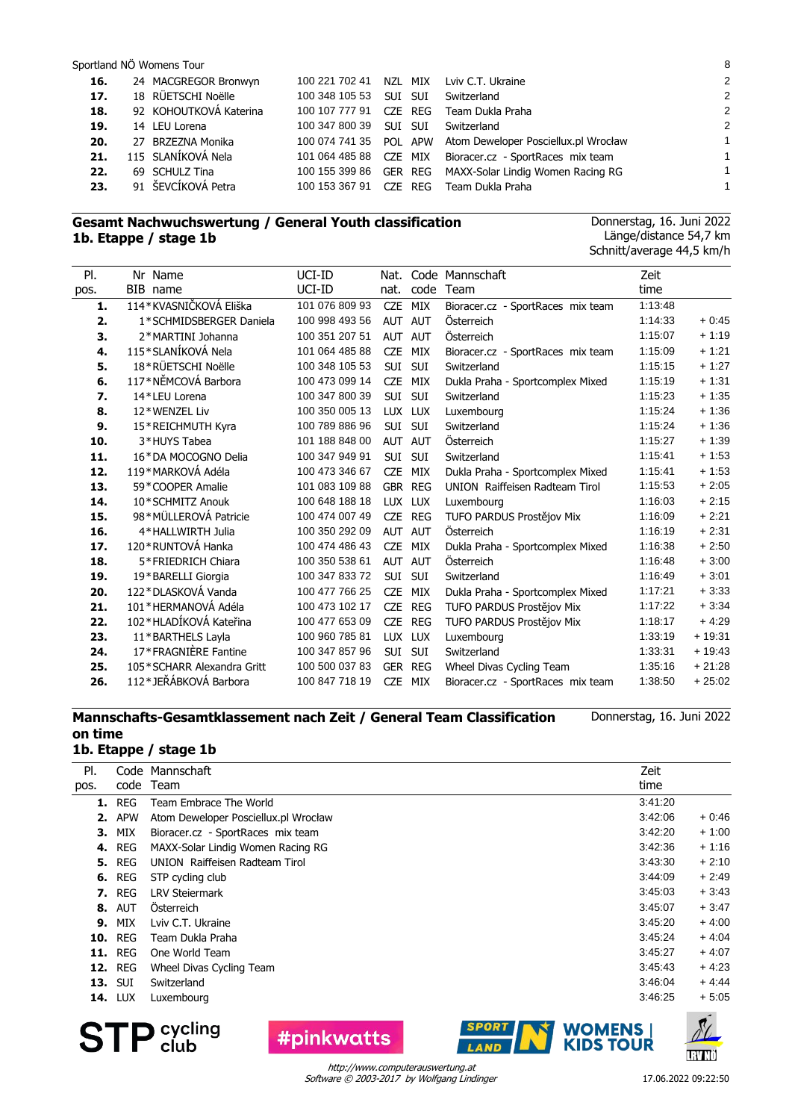#### Sportland NÖ Womens Tour 8

| 16. | 24 MACGREGOR Bronwyn   | 100 221 702 41 |         | NZL MIX | Lviv C.T. Ukraine                                           | 2              |
|-----|------------------------|----------------|---------|---------|-------------------------------------------------------------|----------------|
| 17. | 18 RÜETSCHI Noëlle     | 100 348 105 53 | SUI SUI |         | Switzerland                                                 | $\mathcal{P}$  |
| 18. | 92 KOHOUTKOVÁ Katerina | 100 107 777 91 |         | CZE REG | Team Dukla Praha                                            | $\overline{2}$ |
| 19. | 14 LEU Lorena          | 100 347 800 39 | SUI SUI |         | Switzerland                                                 | $\mathcal{P}$  |
| 20. | 27 BRZEZNA Monika      |                |         |         | 100 074 741 35 POL APW Atom Deweloper Posciellux.pl Wrocław | 1              |
| 21. | 115 SLANÍKOVÁ Nela     |                |         |         | 101 064 485 88 CZE MIX Bioracer.cz - SportRaces mix team    | 1              |
| 22. | 69 SCHULZ Tina         |                |         |         | 100 155 399 86 GER REG MAXX-Solar Lindig Women Racing RG    | 1              |
| 23. | 91 ŠEVCÍKOVÁ Petra     | 100 153 367 91 |         | CZE REG | Team Dukla Praha                                            |                |
|     |                        |                |         |         |                                                             |                |

#### **Gesamt Nachwuchswertung / General Youth classification 1b. Etappe / stage 1b**

Donnerstag, 16. Juni 2022 Länge/distance 54,7 km Schnitt/average 44,5 km/h

| PI.  | Nr Name                    | UCI-ID         | Nat.           |            | Code Mannschaft                       | Zeit    |          |
|------|----------------------------|----------------|----------------|------------|---------------------------------------|---------|----------|
| pos. | BIB name                   | UCI-ID         | nat.           | code       | Team                                  | time    |          |
| 1.   | 114*KVASNIČKOVÁ Eliška     | 101 076 809 93 | <b>CZE</b>     | MIX        | Bioracer.cz - SportRaces mix team     | 1:13:48 |          |
| 2.   | 1*SCHMIDSBERGER Daniela    | 100 998 493 56 | AUT AUT        |            | Österreich                            | 1:14:33 | $+0.45$  |
| З.   | 2*MARTINI Johanna          | 100 351 207 51 | AUT AUT        |            | Österreich                            | 1:15:07 | $+1:19$  |
| 4.   | 115*SLANÍKOVÁ Nela         | 101 064 485 88 | <b>CZE</b>     | MIX        | Bioracer.cz - SportRaces mix team     | 1:15:09 | $+1:21$  |
| 5.   | 18*RÜETSCHI Noëlle         | 100 348 105 53 | SUI            | SUI        | Switzerland                           | 1:15:15 | $+1.27$  |
| 6.   | 117*NĚMCOVÁ Barbora        | 100 473 099 14 | <b>CZE</b>     | MIX        | Dukla Praha - Sportcomplex Mixed      | 1:15:19 | $+1:31$  |
| 7.   | 14*LEU Lorena              | 100 347 800 39 | SUI            | <b>SUI</b> | Switzerland                           | 1:15:23 | $+1:35$  |
| 8.   | 12*WENZEL Liv              | 100 350 005 13 | LUX LUX        |            | Luxembourg                            | 1:15:24 | $+1:36$  |
| 9.   | 15*REICHMUTH Kyra          | 100 789 886 96 | <b>SUI</b>     | <b>SUI</b> | Switzerland                           | 1:15:24 | $+1:36$  |
| 10.  | 3*HUYS Tabea               | 101 188 848 00 | AUT AUT        |            | Österreich                            | 1:15:27 | $+1:39$  |
| 11.  | 16*DA MOCOGNO Delia        | 100 347 949 91 | <b>SUI</b>     | <b>SUI</b> | Switzerland                           | 1:15:41 | $+1:53$  |
| 12.  | 119*MARKOVÁ Adéla          | 100 473 346 67 | <b>CZE</b>     | MIX        | Dukla Praha - Sportcomplex Mixed      | 1:15:41 | $+1:53$  |
| 13.  | 59*COOPER Amalie           | 101 083 109 88 |                | GBR REG    | <b>UNION</b> Raiffeisen Radteam Tirol | 1:15:53 | $+2:05$  |
| 14.  | 10*SCHMITZ Anouk           | 100 648 188 18 | <b>LUX</b>     | LUX        | Luxembourg                            | 1:16:03 | $+2:15$  |
| 15.  | 98*MÜLLEROVÁ Patricie      | 100 474 007 49 | <b>CZE</b>     | REG        | TUFO PARDUS Prostějov Mix             | 1:16:09 | $+2:21$  |
| 16.  | 4*HALLWIRTH Julia          | 100 350 292 09 |                | AUT AUT    | Österreich                            | 1:16:19 | $+2:31$  |
| 17.  | 120*RUNTOVÁ Hanka          | 100 474 486 43 | <b>CZE</b>     | <b>MIX</b> | Dukla Praha - Sportcomplex Mixed      | 1:16:38 | $+2:50$  |
| 18.  | 5*FRIEDRICH Chiara         | 100 350 538 61 | AUT AUT        |            | Österreich                            | 1:16:48 | $+3:00$  |
| 19.  | 19*BARELLI Giorgia         | 100 347 833 72 | SUI            | SUI        | Switzerland                           | 1:16:49 | $+3:01$  |
| 20.  | 122*DLASKOVÁ Vanda         | 100 477 766 25 | <b>CZE</b>     | <b>MIX</b> | Dukla Praha - Sportcomplex Mixed      | 1:17:21 | $+3:33$  |
| 21.  | 101 * HERMANOVÁ Adéla      | 100 473 102 17 | <b>CZE</b>     | <b>REG</b> | TUFO PARDUS Prostějov Mix             | 1:17:22 | $+3.34$  |
| 22.  | 102*HLADÍKOVÁ Kateřina     | 100 477 653 09 | <b>CZE</b>     | <b>REG</b> | TUFO PARDUS Prostějov Mix             | 1:18:17 | $+4.29$  |
| 23.  | 11*BARTHELS Layla          | 100 960 785 81 | LUX LUX        |            | Luxembourg                            | 1:33:19 | $+19:31$ |
| 24.  | 17*FRAGNIÈRE Fantine       | 100 347 857 96 | SUI            | SUI        | Switzerland                           | 1:33:31 | $+19:43$ |
| 25.  | 105*SCHARR Alexandra Gritt | 100 500 037 83 | <b>GER REG</b> |            | Wheel Divas Cycling Team              | 1:35:16 | $+21:28$ |
| 26.  | 112*JEŘÁBKOVÁ Barbora      | 100 847 718 19 | <b>CZE</b>     | MIX        | Bioracer.cz - SportRaces mix team     | 1:38:50 | $+25:02$ |

## **Mannschafts-Gesamtklassement nach Zeit / General Team Classification on time**

#### Donnerstag, 16. Juni 2022

# **1b. Etappe / stage 1b**

| PI.  |                | Code Mannschaft                      | Zeit    |              |
|------|----------------|--------------------------------------|---------|--------------|
| pos. | code           | Team                                 | time    |              |
|      | <b>1.</b> REG  | Team Embrace The World               | 3:41:20 |              |
| 2.   | <b>APW</b>     | Atom Deweloper Posciellux.pl Wrocław | 3:42:06 | $+0:46$      |
| З.   | MIX            | Bioracer.cz - SportRaces mix team    | 3:42:20 | $+1:00$      |
|      | <b>4. REG</b>  | MAXX-Solar Lindig Women Racing RG    | 3:42:36 | $+1:16$      |
|      | <b>5. REG</b>  | UNION Raiffeisen Radteam Tirol       | 3:43:30 | $+2:10$      |
|      | <b>6. REG</b>  | STP cycling club                     | 3:44:09 | $+2:49$      |
|      | <b>7.</b> REG  | <b>LRV Steiermark</b>                | 3:45:03 | $+3:43$      |
|      | <b>8. AUT</b>  | Osterreich                           | 3:45:07 | $+3:47$      |
| 9.   | MIX            | Lviv C.T. Ukraine                    | 3:45:20 | $+4:00$      |
|      | <b>10. REG</b> | Team Dukla Praha                     | 3:45:24 | $+4:04$      |
|      | <b>11. REG</b> | One World Team                       | 3:45:27 | $+4:07$      |
|      | <b>12. REG</b> | Wheel Divas Cycling Team             | 3:45:43 | $+4:23$      |
|      | <b>13. SUI</b> | Switzerland                          | 3:46:04 | $+4.44$      |
|      | <b>14. LUX</b> | Luxembourg                           | 3:46:25 | $+5:05$      |
|      |                |                                      |         | $\mathbf{r}$ |



**#pinkwatts** 



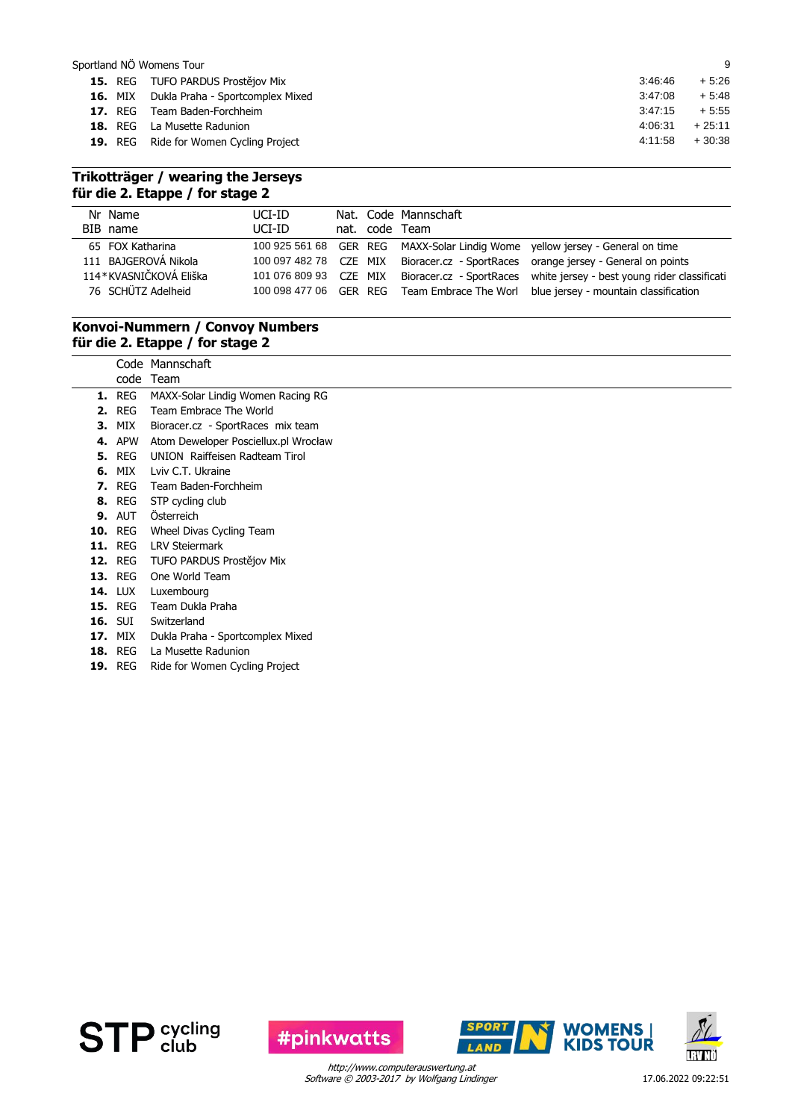| Sportland NÖ Womens Tour |                                                 |         | 9        |
|--------------------------|-------------------------------------------------|---------|----------|
|                          | 15. REG TUFO PARDUS Prostějov Mix               | 3:46:46 | $+5:26$  |
|                          | <b>16.</b> MIX Dukla Praha - Sportcomplex Mixed | 3:47:08 | $+5.48$  |
| <b>17.</b> REG           | Team Baden-Forchheim                            | 3:47:15 | $+5.55$  |
|                          | <b>18.</b> REG La Musette Radunion              | 4:06:31 | $+25:11$ |
|                          | <b>19.</b> REG Ride for Women Cycling Project   | 4:11:58 | $+30.38$ |
|                          |                                                 |         |          |

### **Trikotträger / wearing the Jerseys für die 2. Etappe / for stage 2**

| Nr Name<br>BIB name                                                                      | UCI-ID<br>UCI-ID                                 |  | Nat. Code Mannschaft<br>nat. code Team |                                                                                                                                                                                                                                                                                                            |
|------------------------------------------------------------------------------------------|--------------------------------------------------|--|----------------------------------------|------------------------------------------------------------------------------------------------------------------------------------------------------------------------------------------------------------------------------------------------------------------------------------------------------------|
| 65 FOX Katharina<br>111 BAJGEROVÁ Nikola<br>114*KVASNIČKOVÁ Eliška<br>76 SCHÜTZ Adelheid | 100 097 482 78 CZE MIX<br>101 076 809 93 CZE MIX |  |                                        | 100 925 561 68 GER REG MAXX-Solar Lindig Wome yellow jersey - General on time<br>Bioracer.cz - SportRaces orange jersey - General on points<br>Bioracer.cz - SportRaces white jersey - best young rider classificati<br>100 098 477 06 GER REG Team Embrace The Worl blue jersey - mountain classification |

#### **Konvoi-Nummern / Convoy Numbers für die 2. Etappe / for stage 2**

Code Mannschaft

|    | code           | Team                                 |
|----|----------------|--------------------------------------|
| 1. | REG            | MAXX-Solar Lindig Women Racing RG    |
| 2. | <b>REG</b>     | Team Embrace The World               |
| З. | MIX            | Bioracer.cz - SportRaces mix team    |
| 4. | APW            | Atom Deweloper Posciellux.pl Wrocław |
|    | <b>5.</b> REG  | UNION Raiffeisen Radteam Tirol       |
| 6. | MIX            | Lviv C.T. Ukraine                    |
| 7. | <b>REG</b>     | Team Baden-Forchheim                 |
|    | <b>8.</b> REG  | STP cycling club                     |
|    | <b>9. AUT</b>  | <b>Osterreich</b>                    |
|    | <b>10. REG</b> | Wheel Divas Cycling Team             |
|    | <b>11.</b> REG | <b>LRV Steiermark</b>                |
|    | <b>12.</b> REG | TUFO PARDUS Prostějov Mix            |
|    | <b>13. REG</b> | One World Team                       |
|    | <b>14. LUX</b> | Luxembourg                           |
|    | <b>15. REG</b> | Team Dukla Praha                     |
|    | <b>16.</b> SUI | Switzerland                          |
|    | <b>17. MIX</b> | Dukla Praha - Sportcomplex Mixed     |
|    | <b>18. REG</b> | La Musette Radunion                  |
|    | <b>19. REG</b> | Ride for Women Cycling Project       |